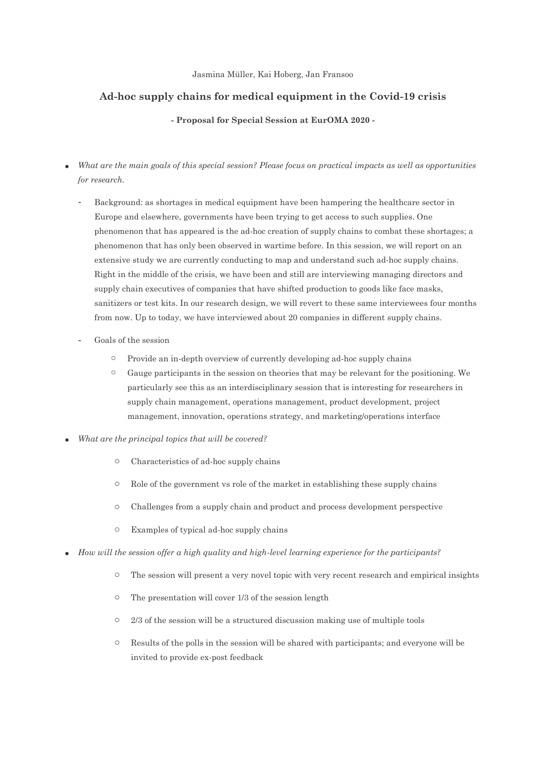## Jasmina Müller, Kai Hoberg, Jan Fransoo

## **Ad-hoc supply chains for medical equipment in the Covid-19 crisis**

**- Proposal for Special Session at EurOMA 2020 -**

- *What are the main goals of this special session? Please focus on practical impacts as well as opportunities for research.*
	- Background: as shortages in medical equipment have been hampering the healthcare sector in Europe and elsewhere, governments have been trying to get access to such supplies. One phenomenon that has appeared is the ad-hoc creation of supply chains to combat these shortages; a phenomenon that has only been observed in wartime before. In this session, we will report on an extensive study we are currently conducting to map and understand such ad-hoc supply chains. Right in the middle of the crisis, we have been and still are interviewing managing directors and supply chain executives of companies that have shifted production to goods like face masks, sanitizers or test kits. In our research design, we will revert to these same interviewees four months from now. Up to today, we have interviewed about 20 companies in different supply chains.
	- Goals of the session
		- o Provide an in-depth overview of currently developing ad-hoc supply chains
		- $\circ$  Gauge participants in the session on theories that may be relevant for the positioning. We particularly see this as an interdisciplinary session that is interesting for researchers in supply chain management, operations management, product development, project management, innovation, operations strategy, and marketing/operations interface
- *What are the principal topics that will be covered?*
	- o Characteristics of ad-hoc supply chains
	- o Role of the government vs role of the market in establishing these supply chains
	- o Challenges from a supply chain and product and process development perspective
	- o Examples of typical ad-hoc supply chains
- *How will the session offer a high quality and high-level learning experience for the participants?*
	- o The session will present a very novel topic with very recent research and empirical insights
	- o The presentation will cover 1/3 of the session length
	- $\circ$  2/3 of the session will be a structured discussion making use of multiple tools
	- o Results of the polls in the session will be shared with participants; and everyone will be invited to provide ex-post feedback